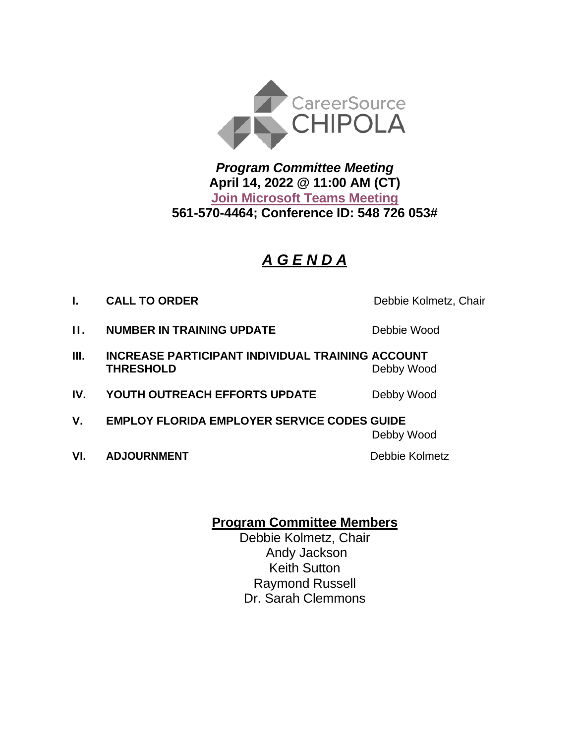

*Program Committee Meeting* **April 14, 2022 @ 11:00 AM (CT) [Join Microsoft Teams Meeting](https://teams.microsoft.com/l/meetup-join/19%3ameeting_ZmE0ZTFhZWUtZTNjZC00ZWEwLWI3OGItMzU2N2MyODgyZjky%40thread.v2/0?context=%7b%22Tid%22%3a%22381e462d-382b-4f05-b17c-e11350250b4b%22%2c%22Oid%22%3a%22ece6f519-14be-447e-9926-70a0c0b015a7%22%7d) 561-570-4464; Conference ID: 548 726 053#**

# *A G E N D A*

**I. CALL TO ORDER** Debbie Kolmetz, Chair

- **II. NUMBER IN TRAINING UPDATE** Debbie Wood
- **III. INCREASE PARTICIPANT INDIVIDUAL TRAINING ACCOUNT THRESHOLD** Debby Wood
- **IV. YOUTH OUTREACH EFFORTS UPDATE** Debby Wood
- **V. EMPLOY FLORIDA EMPLOYER SERVICE CODES GUIDE**

Debby Wood

**VI. ADJOURNMENT Debbie Kolmetz** 

## **Program Committee Members**

Debbie Kolmetz, Chair Andy Jackson Keith Sutton Raymond Russell Dr. Sarah Clemmons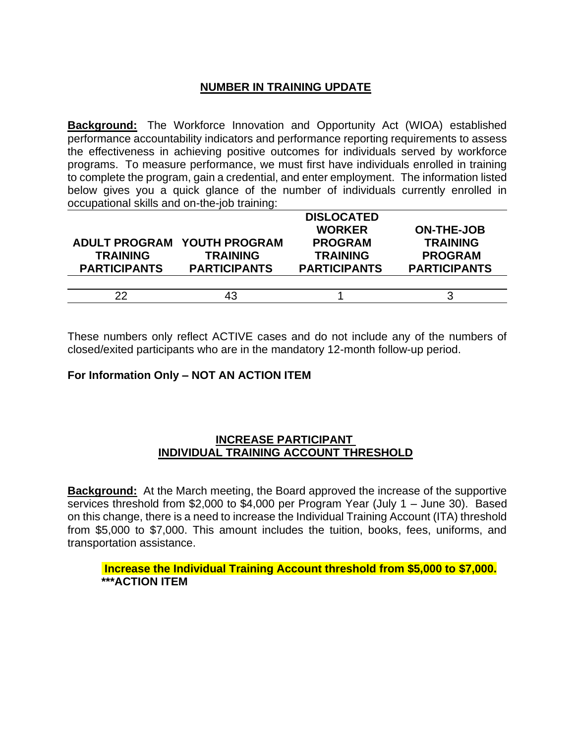## **NUMBER IN TRAINING UPDATE**

**Background:** The Workforce Innovation and Opportunity Act (WIOA) established performance accountability indicators and performance reporting requirements to assess the effectiveness in achieving positive outcomes for individuals served by workforce programs. To measure performance, we must first have individuals enrolled in training to complete the program, gain a credential, and enter employment. The information listed below gives you a quick glance of the number of individuals currently enrolled in occupational skills and on-the-job training:

|                     |                             | <b>DISLOCATED</b>   |                     |
|---------------------|-----------------------------|---------------------|---------------------|
|                     |                             | <b>WORKER</b>       | <b>ON-THE-JOB</b>   |
|                     | ADULT PROGRAM YOUTH PROGRAM | <b>PROGRAM</b>      | <b>TRAINING</b>     |
| <b>TRAINING</b>     | <b>TRAINING</b>             | <b>TRAINING</b>     | <b>PROGRAM</b>      |
| <b>PARTICIPANTS</b> | <b>PARTICIPANTS</b>         | <b>PARTICIPANTS</b> | <b>PARTICIPANTS</b> |
|                     |                             |                     |                     |
| 22                  | 43                          |                     |                     |
|                     |                             |                     |                     |

These numbers only reflect ACTIVE cases and do not include any of the numbers of closed/exited participants who are in the mandatory 12-month follow-up period.

### **For Information Only – NOT AN ACTION ITEM**

#### **INCREASE PARTICIPANT INDIVIDUAL TRAINING ACCOUNT THRESHOLD**

**Background:** At the March meeting, the Board approved the increase of the supportive services threshold from \$2,000 to \$4,000 per Program Year (July 1 – June 30). Based on this change, there is a need to increase the Individual Training Account (ITA) threshold from \$5,000 to \$7,000. This amount includes the tuition, books, fees, uniforms, and transportation assistance.

**Increase the Individual Training Account threshold from \$5,000 to \$7,000. \*\*\*ACTION ITEM**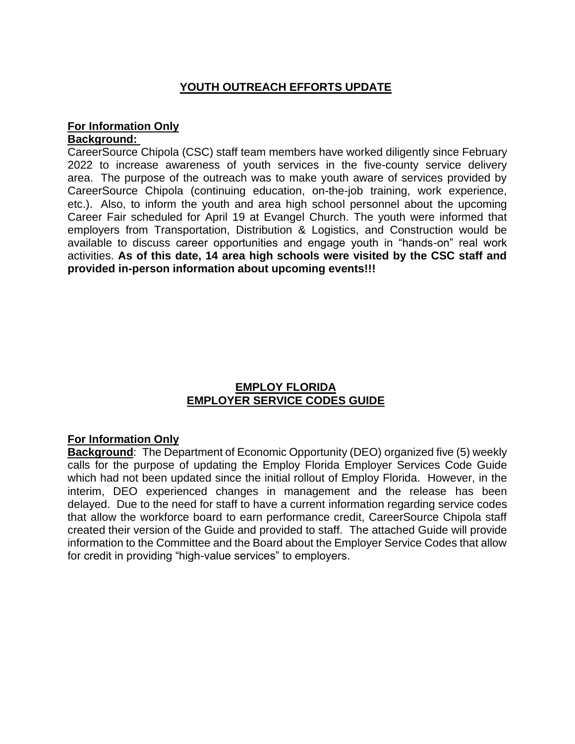## **YOUTH OUTREACH EFFORTS UPDATE**

# **For Information Only**

### **Background:**

CareerSource Chipola (CSC) staff team members have worked diligently since February 2022 to increase awareness of youth services in the five-county service delivery area. The purpose of the outreach was to make youth aware of services provided by CareerSource Chipola (continuing education, on-the-job training, work experience, etc.). Also, to inform the youth and area high school personnel about the upcoming Career Fair scheduled for April 19 at Evangel Church. The youth were informed that employers from Transportation, Distribution & Logistics, and Construction would be available to discuss career opportunities and engage youth in "hands-on" real work activities. **As of this date, 14 area high schools were visited by the CSC staff and provided in-person information about upcoming events!!!**

### **EMPLOY FLORIDA EMPLOYER SERVICE CODES GUIDE**

### **For Information Only**

**Background**: The Department of Economic Opportunity (DEO) organized five (5) weekly calls for the purpose of updating the Employ Florida Employer Services Code Guide which had not been updated since the initial rollout of Employ Florida. However, in the interim, DEO experienced changes in management and the release has been delayed. Due to the need for staff to have a current information regarding service codes that allow the workforce board to earn performance credit, CareerSource Chipola staff created their version of the Guide and provided to staff. The attached Guide will provide information to the Committee and the Board about the Employer Service Codes that allow for credit in providing "high-value services" to employers.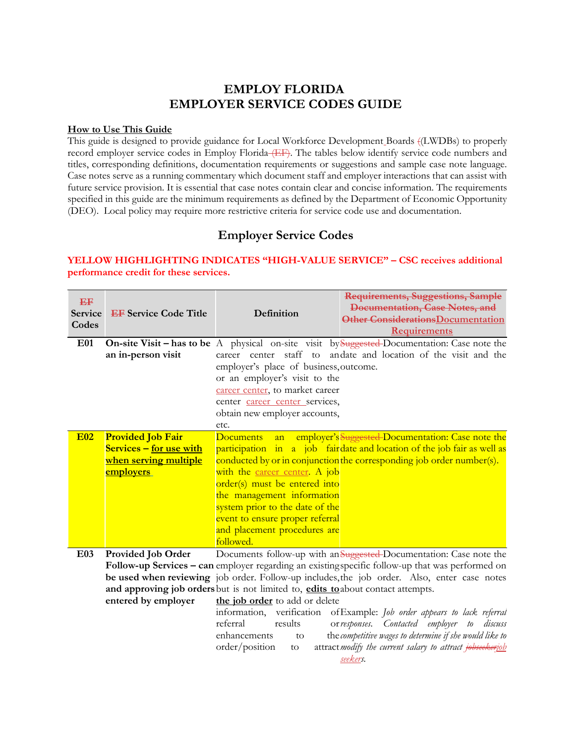### **EMPLOY FLORIDA EMPLOYER SERVICE CODES GUIDE**

#### **How to Use This Guide**

This guide is designed to provide guidance for Local Workforce Development Boards ((LWDBs) to properly record employer service codes in Employ Florida (EF). The tables below identify service code numbers and titles, corresponding definitions, documentation requirements or suggestions and sample case note language. Case notes serve as a running commentary which document staff and employer interactions that can assist with future service provision. It is essential that case notes contain clear and concise information. The requirements specified in this guide are the minimum requirements as defined by the Department of Economic Opportunity (DEO). Local policy may require more restrictive criteria for service code use and documentation.

## **Employer Service Codes**

| EF<br><b>Service</b><br>Codes | <b>EF</b> Service Code Title                        | Definition                                                                       | Requirements, Suggestions, Sample<br>Documentation, Case Notes, and<br>Other Considerations Documentation<br>Requirements                        |
|-------------------------------|-----------------------------------------------------|----------------------------------------------------------------------------------|--------------------------------------------------------------------------------------------------------------------------------------------------|
| <b>E01</b>                    |                                                     |                                                                                  | <b>On-site Visit – has to be</b> A physical on-site visit by Suggested-Documentation: Case note the                                              |
|                               | an in-person visit                                  |                                                                                  | career center staff to andate and location of the visit and the                                                                                  |
|                               |                                                     | employer's place of business, outcome.                                           |                                                                                                                                                  |
|                               |                                                     | or an employer's visit to the                                                    |                                                                                                                                                  |
|                               |                                                     | career center, to market career                                                  |                                                                                                                                                  |
|                               |                                                     | center career center services,                                                   |                                                                                                                                                  |
|                               |                                                     | obtain new employer accounts,                                                    |                                                                                                                                                  |
| <b>E02</b>                    |                                                     | etc.                                                                             |                                                                                                                                                  |
|                               | <b>Provided Job Fair</b><br>Services - for use with | <b>Documents</b><br>an                                                           | employer's Suggested-Documentation: Case note the                                                                                                |
|                               | <u>when serving multiple</u>                        |                                                                                  | participation in a job fairdate and location of the job fair as well as<br>conducted by or in conjunction the corresponding job order number(s). |
|                               | <b>employers</b>                                    | with the career center. A job                                                    |                                                                                                                                                  |
|                               |                                                     | order(s) must be entered into                                                    |                                                                                                                                                  |
|                               |                                                     | the management information                                                       |                                                                                                                                                  |
|                               |                                                     | system prior to the date of the                                                  |                                                                                                                                                  |
|                               |                                                     | event to ensure proper referral                                                  |                                                                                                                                                  |
|                               |                                                     | and placement procedures are                                                     |                                                                                                                                                  |
|                               |                                                     | followed.                                                                        |                                                                                                                                                  |
| E03                           | Provided Job Order                                  |                                                                                  | Documents follow-up with an Suggested-Documentation: Case note the                                                                               |
|                               |                                                     |                                                                                  | Follow-up Services – can employer regarding an existing specific follow-up that was performed on                                                 |
|                               |                                                     |                                                                                  | be used when reviewing job order. Follow-up includes, the job order. Also, enter case notes                                                      |
|                               |                                                     | and approving job orders but is not limited to, edits to about contact attempts. |                                                                                                                                                  |
|                               | entered by employer                                 | the job order to add or delete                                                   |                                                                                                                                                  |
|                               |                                                     |                                                                                  | information, verification of Example: Job order appears to lack referral                                                                         |

**YELLOW HIGHLIGHTING INDICATES "HIGH-VALUE SERVICE" – CSC receives additional performance credit for these services.**

> referral results enhancements to  $order/position$  to *responses. Contacted employer to discuss competitive wages to determine if she would like to modify the current salary to attract jobseekerjob seekers.*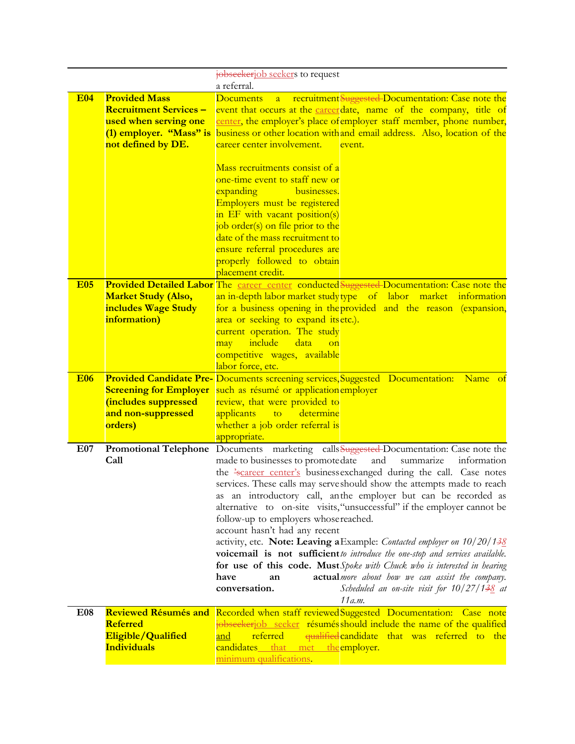|            |                               | jobseekerjob seekers to request                                                                                    |
|------------|-------------------------------|--------------------------------------------------------------------------------------------------------------------|
|            |                               | a referral.                                                                                                        |
| <b>E04</b> | <b>Provided Mass</b>          | recruitment Suggested Documentation: Case note the<br><b>Documents</b><br>$\overline{a}$                           |
|            | <b>Recruitment Services -</b> | event that occurs at the career date, name of the company, title of                                                |
|            | used when serving one         | center, the employer's place of employer staff member, phone number,                                               |
|            |                               | (1) employer. "Mass" is business or other location with and email address. Also, location of the                   |
|            | not defined by DE.            | career center involvement.<br>event.                                                                               |
|            |                               |                                                                                                                    |
|            |                               | Mass recruitments consist of a                                                                                     |
|            |                               | one-time event to staff new or                                                                                     |
|            |                               | businesses.<br>expanding                                                                                           |
|            |                               | Employers must be registered                                                                                       |
|            |                               | in EF with vacant position(s)                                                                                      |
|            |                               | job order(s) on file prior to the                                                                                  |
|            |                               | date of the mass recruitment to                                                                                    |
|            |                               | ensure referral procedures are                                                                                     |
|            |                               | properly followed to obtain                                                                                        |
|            |                               | placement credit.                                                                                                  |
| <b>E05</b> |                               | Provided Detailed Labor The career center conducted Suggested-Documentation: Case note the                         |
|            | <b>Market Study (Also,</b>    | an in-depth labor market studytype of labor market information                                                     |
|            | includes Wage Study           | for a business opening in the provided and the reason (expansion,                                                  |
|            | information)                  | area or seeking to expand itsetc.).                                                                                |
|            |                               | current operation. The study                                                                                       |
|            |                               | include<br>may<br>data<br>$_{\text{on}}$                                                                           |
|            |                               | competitive wages, available                                                                                       |
| <b>E06</b> |                               | labor force, etc.<br><b>Provided Candidate Pre-</b> Documents screening services, Suggested Documentation: Name of |
|            | <b>Screening for Employer</b> | such as résumé or application employer                                                                             |
|            | (includes suppressed          | review, that were provided to                                                                                      |
|            | and non-suppressed            | applicants<br>to<br>determine                                                                                      |
|            | orders)                       | whether a job order referral is                                                                                    |
|            |                               | appropriate.                                                                                                       |
| E07        |                               | Promotional Telephone Documents marketing calls Suggested-Documentation: Case note the                             |
|            | Call                          | made to businesses to promotedate<br>and<br>summarize<br>information                                               |
|            |                               | the 'scareer center's businessexchanged during the call. Case notes                                                |
|            |                               | services. These calls may serve should show the attempts made to reach                                             |
|            |                               | as an introductory call, anthe employer but can be recorded as                                                     |
|            |                               | alternative to on-site visits, "unsuccessful" if the employer cannot be                                            |
|            |                               | follow-up to employers whose reached.                                                                              |
|            |                               | account hasn't had any recent                                                                                      |
|            |                               | activity, etc. Note: Leaving a Example: Contacted employer on 10/20/138                                            |
|            |                               | voicemail is not sufficient to introduce the one-stop and services available.                                      |
|            |                               | for use of this code. Must Spoke with Chuck who is interested in hearing                                           |
|            |                               | actualmore about how we can assist the company.<br>have<br>an                                                      |
|            |                               | conversation.<br>Scheduled an on-site visit for $10/27/138$ at                                                     |
|            |                               | 11 a.m.                                                                                                            |
| E08        |                               | Reviewed Résumés and Recorded when staff reviewed Suggested Documentation: Case note                               |
|            | <b>Referred</b>               | jobseekerjob seeker résumés should include the name of the qualified                                               |
|            | Eligible/Qualified            | referred<br>qualified candidate that was referred to the<br>and                                                    |
|            | <b>Individuals</b>            | candidates that met the employer.                                                                                  |
|            |                               | minimum qualifications.                                                                                            |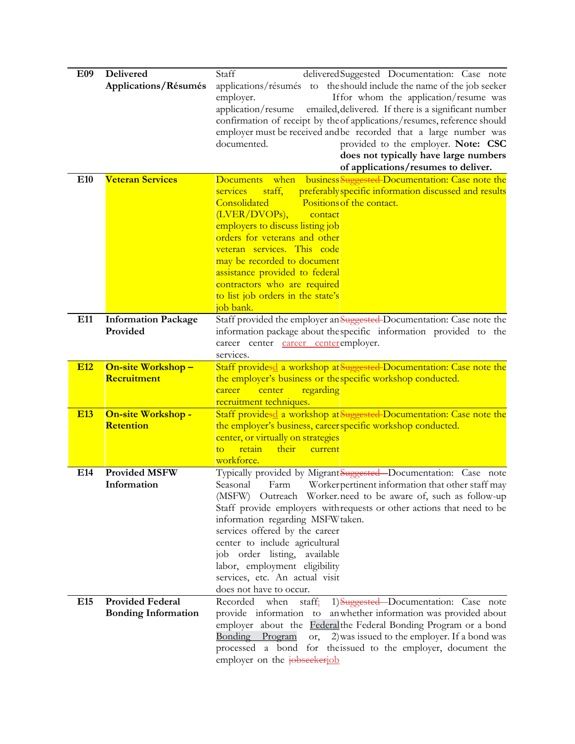| E09             | Delivered                  | Staff<br>delivered Suggested Documentation: Case note                       |
|-----------------|----------------------------|-----------------------------------------------------------------------------|
|                 | Applications/Résumés       | applications/résumés to the should include the name of the job seeker       |
|                 |                            | If for whom the application/resume was<br>employer.                         |
|                 |                            | application/resume<br>emailed, delivered. If there is a significant number  |
|                 |                            | confirmation of receipt by theof applications/resumes, reference should     |
|                 |                            | employer must be received and be recorded that a large number was           |
|                 |                            | documented.<br>provided to the employer. Note: CSC                          |
|                 |                            | does not typically have large numbers                                       |
|                 |                            | of applications/resumes to deliver.                                         |
| E <sub>10</sub> | <b>Veteran Services</b>    | business Suggested-Documentation: Case note the<br><b>Documents</b><br>when |
|                 |                            | preferably specific information discussed and results<br>services<br>staff, |
|                 |                            | Consolidated<br>Positions of the contact.                                   |
|                 |                            | (LVER/DVOPs),<br>contact                                                    |
|                 |                            | employers to discuss listing job                                            |
|                 |                            | orders for veterans and other                                               |
|                 |                            | veteran services. This code                                                 |
|                 |                            | may be recorded to document                                                 |
|                 |                            | assistance provided to federal                                              |
|                 |                            | contractors who are required                                                |
|                 |                            | to list job orders in the state's                                           |
|                 |                            | job bank.                                                                   |
| E11             | <b>Information Package</b> | Staff provided the employer an Suggested-Documentation: Case note the       |
|                 | Provided                   | information package about the specific information provided to the          |
|                 |                            | career center career center employer.                                       |
|                 |                            | services.                                                                   |
| <b>E12</b>      | <b>On-site Workshop-</b>   | Staff providesd a workshop at Suggested-Documentation: Case note the        |
|                 | Recruitment                | the employer's business or the specific workshop conducted.                 |
|                 |                            | regarding<br>center<br>career                                               |
|                 |                            | recruitment techniques.                                                     |
| <b>E13</b>      | On-site Workshop -         | Staff providesd a workshop at Suggested-Documentation: Case note the        |
|                 | <b>Retention</b>           | the employer's business, career specific workshop conducted.                |
|                 |                            | center, or virtually on strategies                                          |
|                 |                            | retain<br>their<br>current<br>to                                            |
|                 |                            | workforce.                                                                  |
| E14             | <b>Provided MSFW</b>       | Typically provided by MigrantSuggested-Documentation: Case note             |
|                 | Information                | Workerpertinent information that other staff may<br>Seasonal<br>Farm        |
|                 |                            | (MSFW) Outreach Worker.need to be aware of, such as follow-up               |
|                 |                            | Staff provide employers with requests or other actions that need to be      |
|                 |                            | information regarding MSFW taken.                                           |
|                 |                            | services offered by the career                                              |
|                 |                            | center to include agricultural                                              |
|                 |                            | job order listing,<br>available                                             |
|                 |                            | labor, employment eligibility                                               |
|                 |                            | services, etc. An actual visit                                              |
|                 |                            | does not have to occur.                                                     |
| E <sub>15</sub> | <b>Provided Federal</b>    | staff:<br>1) Suggested - Documentation: Case note<br>Recorded when          |
|                 | <b>Bonding Information</b> | an whether information was provided about<br>provide information to         |
|                 |                            | employer about the <b>Federal</b> the Federal Bonding Program or a bond     |
|                 |                            | Bonding Program<br>2) was issued to the employer. If a bond was<br>or,      |
|                 |                            | processed a bond for theissued to the employer, document the                |
|                 |                            | employer on the jobseekerjob                                                |
|                 |                            |                                                                             |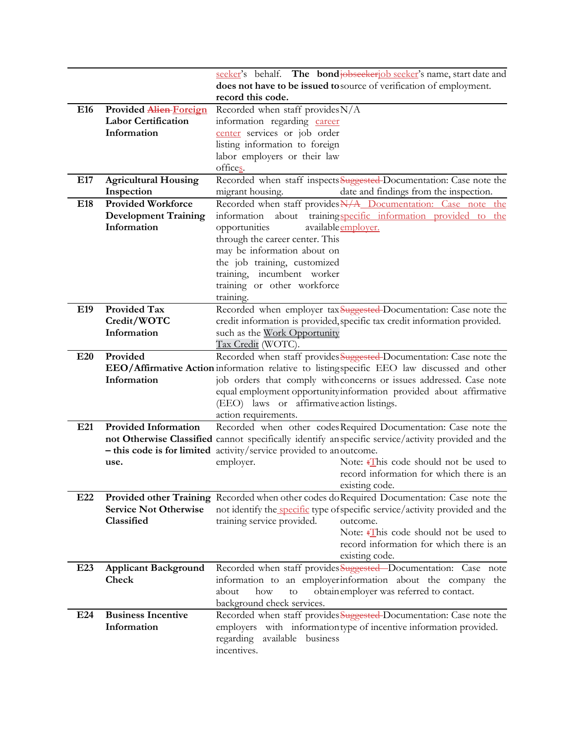|                 |                               | seeker's behalf. The bond <del>jobseeker</del> job seeker's name, start date and                   |
|-----------------|-------------------------------|----------------------------------------------------------------------------------------------------|
|                 |                               | does not have to be issued to source of verification of employment.                                |
|                 |                               | record this code.                                                                                  |
| E16             | <b>Provided Alien-Foreign</b> | Recorded when staff provides N/A                                                                   |
|                 | <b>Labor Certification</b>    | information regarding career                                                                       |
|                 | Information                   | center services or job order                                                                       |
|                 |                               | listing information to foreign                                                                     |
|                 |                               | labor employers or their law                                                                       |
|                 |                               | offices.                                                                                           |
| E17             | <b>Agricultural Housing</b>   | Recorded when staff inspects Suggested-Documentation: Case note the                                |
|                 | Inspection                    | date and findings from the inspection.<br>migrant housing.                                         |
| E18             | <b>Provided Workforce</b>     | Recorded when staff provides N/A_Documentation: Case_note_the                                      |
|                 | <b>Development Training</b>   | about trainingspecific information provided to the<br>information                                  |
|                 | Information                   | available employer.<br>opportunities                                                               |
|                 |                               | through the career center. This                                                                    |
|                 |                               | may be information about on                                                                        |
|                 |                               | the job training, customized                                                                       |
|                 |                               | training, incumbent worker                                                                         |
|                 |                               | training or other workforce                                                                        |
|                 |                               | training.                                                                                          |
| E19             | <b>Provided Tax</b>           | Recorded when employer tax Suggested-Documentation: Case note the                                  |
|                 | Credit/WOTC                   |                                                                                                    |
|                 |                               | credit information is provided, specific tax credit information provided.                          |
|                 | Information                   | such as the Work Opportunity                                                                       |
|                 |                               | Tax Credit (WOTC).                                                                                 |
| E20             | Provided                      | Recorded when staff provides Suggested-Documentation: Case note the                                |
|                 |                               | <b>EEO/Affirmative Action</b> information relative to listing specific EEO law discussed and other |
|                 | Information                   | job orders that comply withconcerns or issues addressed. Case note                                 |
|                 |                               | equal employment opportunity information provided about affirmative                                |
|                 |                               | (EEO) laws or affirmative action listings.                                                         |
|                 |                               | action requirements.                                                                               |
| E21             | <b>Provided Information</b>   | Recorded when other codes Required Documentation: Case note the                                    |
|                 |                               | not Otherwise Classified cannot specifically identify anspecific service/activity provided and the |
|                 |                               | - this code is for limited activity/service provided to anoutcome.                                 |
|                 | use.                          | Note: $\frac{1}{2}$ his code should not be used to<br>employer.                                    |
|                 |                               | record information for which there is an                                                           |
|                 |                               | existing code.                                                                                     |
| E <sub>22</sub> |                               | Provided other Training Recorded when other codes do Required Documentation: Case note the         |
|                 | <b>Service Not Otherwise</b>  | not identify the specific type of specific service/activity provided and the                       |
|                 | Classified                    | training service provided.<br>outcome.                                                             |
|                 |                               | Note: $\frac{1}{2}$ his code should not be used to                                                 |
|                 |                               | record information for which there is an                                                           |
|                 |                               | existing code.                                                                                     |
| E23             | <b>Applicant Background</b>   | Recorded when staff provides Suggested-Documentation: Case note                                    |
|                 | Check                         | information to an employerinformation about the company the                                        |
|                 |                               | obtain employer was referred to contact.<br>how<br>about<br>to                                     |
|                 |                               | background check services.                                                                         |
| E24             | <b>Business Incentive</b>     | Recorded when staff provides Suggested-Documentation: Case note the                                |
|                 | Information                   | employers with information type of incentive information provided.                                 |
|                 |                               | regarding<br>available business                                                                    |
|                 |                               | incentives.                                                                                        |
|                 |                               |                                                                                                    |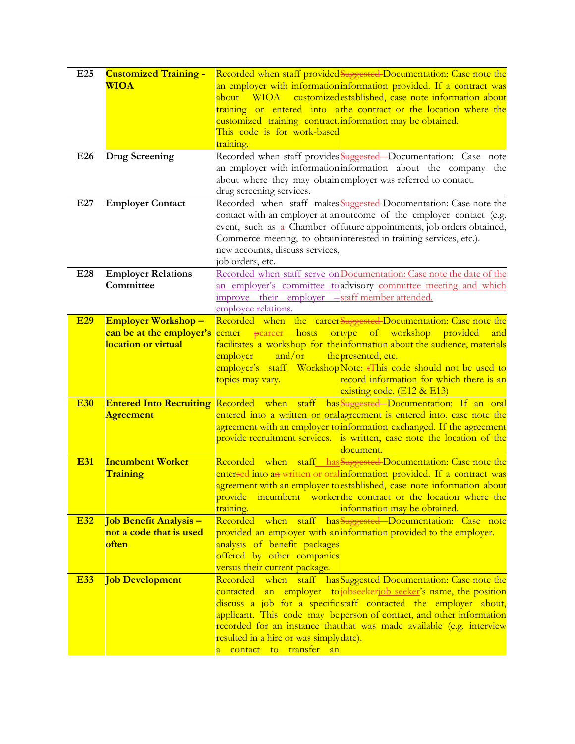| E <sub>25</sub> | <b>Customized Training -</b>    | Recorded when staff provided Suggested-Documentation: Case note the                                                                          |
|-----------------|---------------------------------|----------------------------------------------------------------------------------------------------------------------------------------------|
|                 | <b>WIOA</b>                     | an employer with information information provided. If a contract was                                                                         |
|                 |                                 | customized established, case note information about<br>about<br><b>WIOA</b>                                                                  |
|                 |                                 | training or entered into athe contract or the location where the                                                                             |
|                 |                                 | customized training contract. information may be obtained.                                                                                   |
|                 |                                 | This code is for work-based                                                                                                                  |
|                 |                                 | training.                                                                                                                                    |
| E26             | <b>Drug Screening</b>           | Recorded when staff provides Suggested-Documentation: Case note                                                                              |
|                 |                                 | an employer with information information about the company the                                                                               |
|                 |                                 | about where they may obtain employer was referred to contact.                                                                                |
|                 |                                 | drug screening services.                                                                                                                     |
| E27             | <b>Employer Contact</b>         | Recorded when staff makes Suggested-Documentation: Case note the                                                                             |
|                 |                                 | contact with an employer at anoutcome of the employer contact (e.g.                                                                          |
|                 |                                 | event, such as a Chamber of future appointments, job orders obtained,                                                                        |
|                 |                                 | Commerce meeting, to obtaininterested in training services, etc.).                                                                           |
|                 |                                 | new accounts, discuss services,                                                                                                              |
|                 |                                 | job orders, etc.                                                                                                                             |
| E28             | <b>Employer Relations</b>       | Recorded when staff serve on Documentation: Case note the date of the                                                                        |
|                 | Committee                       | an employer's committee to advisory committee meeting and which                                                                              |
|                 |                                 | improve their employer -staff member attended.                                                                                               |
|                 |                                 | employee relations.                                                                                                                          |
| <b>E29</b>      | <b>Employer Workshop-</b>       | Recorded when the career Suggested-Documentation: Case note the                                                                              |
|                 | can be at the employer's center | ortype of workshop<br><del>p</del> career hosts<br>provided<br>and                                                                           |
|                 | location or virtual             | facilitates a workshop for the information about the audience, materials                                                                     |
|                 |                                 | and/or<br>the presented, etc.<br>employer                                                                                                    |
|                 |                                 | employer's staff. WorkshopNote: <i>Elmis</i> code should not be used to                                                                      |
|                 |                                 | record information for which there is an<br>topics may vary.                                                                                 |
|                 |                                 | existing code. (E12 & E13)                                                                                                                   |
| <b>E30</b>      |                                 | Entered Into Recruiting Recorded when staff has Suggested-Documentation: If an oral                                                          |
|                 | <b>Agreement</b>                | entered into a written or oral agreement is entered into, case note the                                                                      |
|                 |                                 | agreement with an employer to information exchanged. If the agreement                                                                        |
|                 |                                 | provide recruitment services. is written, case note the location of the                                                                      |
|                 |                                 | document.                                                                                                                                    |
| <b>E31</b>      | <b>Incumbent Worker</b>         | staff has Suggested Documentation: Case note the<br>Recorded when                                                                            |
|                 | <b>Training</b>                 | entersed into an written or oral information provided. If a contract was                                                                     |
|                 |                                 | agreement with an employer to established, case note information about                                                                       |
|                 |                                 | incumbent worker the contract or the location where the<br>provide                                                                           |
|                 |                                 | training.<br>information may be obtained.                                                                                                    |
| <b>E32</b>      | Job Benefit Analysis -          | Recorded when staff has Suggested Documentation: Case note                                                                                   |
|                 | not a code that is used         | provided an employer with an information provided to the employer.                                                                           |
|                 | <u>often</u>                    | analysis of benefit packages                                                                                                                 |
|                 |                                 | offered by other companies                                                                                                                   |
|                 |                                 | versus their current package.                                                                                                                |
| <b>E33</b>      | <b>Job Development</b>          | Recorded when staff has Suggested Documentation: Case note the                                                                               |
|                 |                                 | contacted an employer to obseekeriob seeker's name, the position                                                                             |
|                 |                                 | discuss a job for a specific staff contacted the employer about,                                                                             |
|                 |                                 | applicant. This code may beperson of contact, and other information<br>recorded for an instance that that was made available (e.g. interview |
|                 |                                 | resulted in a hire or was simply date).                                                                                                      |
|                 |                                 | transfer<br>contact to<br>an                                                                                                                 |
|                 |                                 |                                                                                                                                              |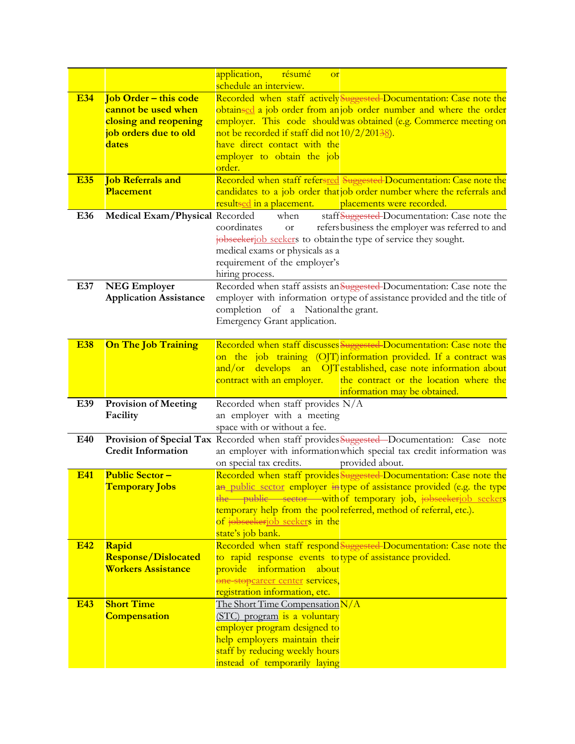|            |                                | application,<br><u>résumé</u><br><b>or</b><br>schedule an interview.                                                                    |
|------------|--------------------------------|-----------------------------------------------------------------------------------------------------------------------------------------|
| <b>E34</b> | <b>Job Order - this code</b>   | Recorded when staff actively Suggested-Documentation: Case note the                                                                     |
|            | cannot be used when            | obtainsed a job order from anjob order number and where the order                                                                       |
|            | closing and reopening          | employer. This code should was obtained (e.g. Commerce meeting on                                                                       |
|            | job orders due to old<br>dates | not be recorded if staff did not 10/2/20138.<br>have direct contact with the                                                            |
|            |                                | employer to obtain the job                                                                                                              |
|            |                                | order.                                                                                                                                  |
| <b>E35</b> | <b>Job Referrals and</b>       | Recorded when staff refersred Suggested Documentation: Case note the                                                                    |
|            | Placement                      | candidates to a job order that job order number where the referrals and                                                                 |
|            |                                | resultsed in a placement.<br>placements were recorded.                                                                                  |
| E36        | Medical Exam/Physical Recorded | staff Suggested-Documentation: Case note the<br>when<br>coordinates                                                                     |
|            |                                | refers business the employer was referred to and<br><b>or</b><br>jobseekerjob seekers to obtain the type of service they sought.        |
|            |                                | medical exams or physicals as a                                                                                                         |
|            |                                | requirement of the employer's                                                                                                           |
|            |                                | hiring process.                                                                                                                         |
| E37        | <b>NEG Employer</b>            | Recorded when staff assists an Suggested-Documentation: Case note the                                                                   |
|            | <b>Application Assistance</b>  | employer with information ortype of assistance provided and the title of                                                                |
|            |                                | completion of a National the grant.                                                                                                     |
|            |                                | Emergency Grant application.                                                                                                            |
|            |                                |                                                                                                                                         |
| <b>E38</b> | <b>On The Job Training</b>     | Recorded when staff discusses Suggested-Documentation: Case note the                                                                    |
|            |                                | on the job training (OJT) information provided. If a contract was                                                                       |
|            |                                | and/or develops an OJT established, case note information about<br>contract with an employer.<br>the contract or the location where the |
|            |                                | information may be obtained.                                                                                                            |
| E39        | <b>Provision of Meeting</b>    | Recorded when staff provides N/A                                                                                                        |
|            | Facility                       | an employer with a meeting                                                                                                              |
|            |                                | space with or without a fee.                                                                                                            |
| E40        | <b>Credit Information</b>      | Provision of Special Tax Recorded when staff provides Suggested-Documentation: Case note                                                |
|            |                                | an employer with information which special tax credit information was<br>on special tax credits.<br>provided about.                     |
| <b>E41</b> | <b>Public Sector-</b>          | Recorded when staff provides Suggested-Documentation: Case note the                                                                     |
|            | <b>Temporary Jobs</b>          | an public sector employer intype of assistance provided (e.g. the type                                                                  |
|            |                                | the public sector with of temporary job, jobseekerjob seekers                                                                           |
|            |                                | temporary help from the pool referred, method of referral, etc.).                                                                       |
|            |                                | of jobseekerjob seekers in the                                                                                                          |
|            |                                | state's job bank.                                                                                                                       |
| <b>E42</b> | Rapid                          | Recorded when staff respond Suggested-Documentation: Case note the                                                                      |
|            | <b>Response/Dislocated</b>     | to rapid response events to type of assistance provided.                                                                                |
|            | <b>Workers Assistance</b>      | information<br>about<br>provide                                                                                                         |
|            |                                | one-stopcareer center services,                                                                                                         |
| <b>E43</b> | <b>Short Time</b>              | registration information, etc.<br>The Short Time Compensation N/A                                                                       |
|            | <b>Compensation</b>            | (STC) program is a voluntary                                                                                                            |
|            |                                | employer program designed to                                                                                                            |
|            |                                | help employers maintain their                                                                                                           |
|            |                                | staff by reducing weekly hours                                                                                                          |
|            |                                |                                                                                                                                         |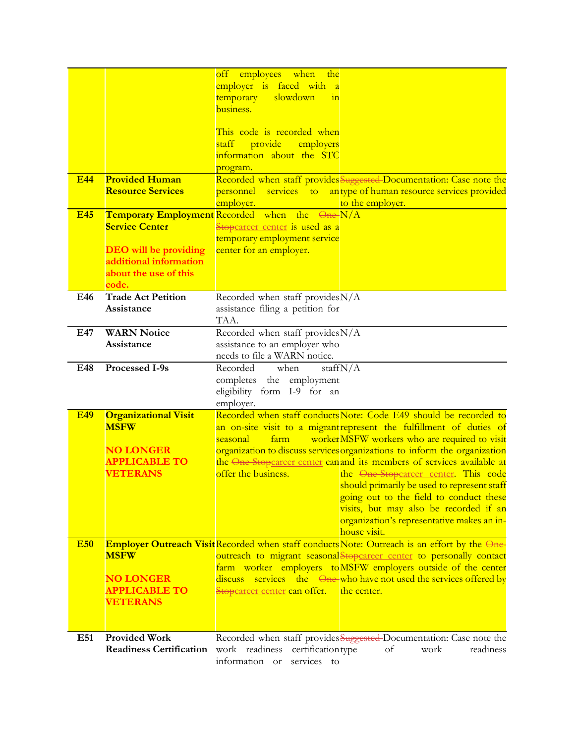|            |                                                 | off employees when<br>the<br>employer is faced with<br>$\mathbf{a}$                                                                  |
|------------|-------------------------------------------------|--------------------------------------------------------------------------------------------------------------------------------------|
|            |                                                 | temporary<br>slowdown<br>in                                                                                                          |
|            |                                                 | business.                                                                                                                            |
|            |                                                 | This code is recorded when                                                                                                           |
|            |                                                 | staff<br>provide<br>employers                                                                                                        |
|            |                                                 | information about the STC                                                                                                            |
|            |                                                 | program.                                                                                                                             |
| <b>E44</b> | <b>Provided Human</b>                           | Recorded when staff provides Suggested-Documentation: Case note the                                                                  |
|            | <b>Resource Services</b>                        | services to antype of human resource services provided<br>personnel =<br>employer.<br>to the employer.                               |
| <b>E45</b> |                                                 | <b>Temporary Employment</b> Recorded when the One-N/A                                                                                |
|            | <b>Service Center</b>                           | Stopcareer center is used as a                                                                                                       |
|            |                                                 | temporary employment service                                                                                                         |
|            | <b>DEO</b> will be providing                    | center for an employer.                                                                                                              |
|            | additional information<br>about the use of this |                                                                                                                                      |
|            | code.                                           |                                                                                                                                      |
| E46        | <b>Trade Act Petition</b>                       | Recorded when staff provides $N/A$                                                                                                   |
|            | Assistance                                      | assistance filing a petition for                                                                                                     |
|            |                                                 | TAA.                                                                                                                                 |
| E47        | <b>WARN Notice</b>                              | Recorded when staff provides N/A                                                                                                     |
|            | Assistance                                      | assistance to an employer who<br>needs to file a WARN notice.                                                                        |
| E48        | Processed I-9s                                  | Recorded<br>when<br>staff $N/A$                                                                                                      |
|            |                                                 | completes the employment                                                                                                             |
|            |                                                 | eligibility form I-9 for an                                                                                                          |
|            |                                                 | employer.<br>Recorded when staff conducts Note: Code E49 should be recorded to                                                       |
| <b>E49</b> | <b>Organizational Visit</b><br><b>MSFW</b>      | an on-site visit to a migrant represent the fulfillment of duties of                                                                 |
|            |                                                 | workerMSFW workers who are required to visit<br>seasonal<br>farm                                                                     |
|            | <b>NO LONGER</b>                                | organization to discuss services organizations to inform the organization                                                            |
|            | <b>APPLICABLE TO</b>                            | the One-Stopcareer center can and its members of services available at                                                               |
|            | <b>VETERANS</b>                                 | offer the business.<br>the One-Stopcareer center. This code                                                                          |
|            |                                                 | should primarily be used to represent staff<br>going out to the field to conduct these                                               |
|            |                                                 | visits, but may also be recorded if an                                                                                               |
|            |                                                 | organization's representative makes an in-                                                                                           |
|            |                                                 | house visit.                                                                                                                         |
| <b>E50</b> |                                                 | <b>Employer Outreach Visit Recorded when staff conducts Note: Outreach is an effort by the One-</b>                                  |
|            | <b>MSFW</b>                                     | outreach to migrant seasonalStopcareer center to personally contact<br>farm worker employers to MSFW employers outside of the center |
|            | <b>NO LONGER</b>                                | discuss services the <del>One-</del> who have not used the services offered by                                                       |
|            | <b>APPLICABLE TO</b>                            | Stop <u>career center</u> can offer.<br>the center.                                                                                  |
|            | <b>VETERANS</b>                                 |                                                                                                                                      |
|            |                                                 |                                                                                                                                      |
| E51        | <b>Provided Work</b>                            | Recorded when staff provides Suggested-Documentation: Case note the                                                                  |
|            | <b>Readiness Certification</b>                  | certification type<br>work readiness<br>of<br>work<br>readiness                                                                      |
|            |                                                 | information or<br>services to                                                                                                        |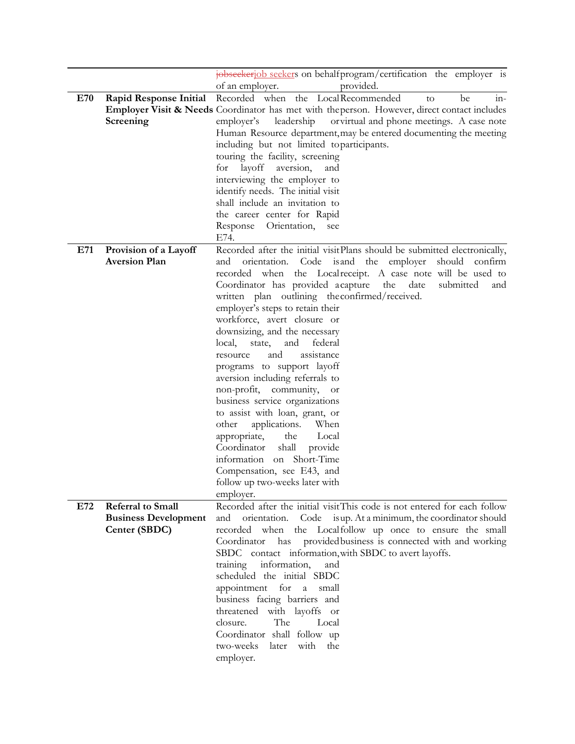|     |                             | jobseekerjob seekers on behalf program/certification the employer is                                    |
|-----|-----------------------------|---------------------------------------------------------------------------------------------------------|
|     |                             | provided.<br>of an employer.                                                                            |
| E70 | Rapid Response Initial      | Recorded when the LocalRecommended<br>$in-$<br>be<br>to                                                 |
|     |                             | <b>Employer Visit &amp; Needs</b> Coordinator has met with the person. However, direct contact includes |
|     | Screening                   | leadership<br>orvirtual and phone meetings. A case note<br>employer's                                   |
|     |                             | Human Resource department, may be entered documenting the meeting                                       |
|     |                             | including but not limited toparticipants.                                                               |
|     |                             | touring the facility, screening                                                                         |
|     |                             | for layoff<br>aversion,<br>and                                                                          |
|     |                             | interviewing the employer to                                                                            |
|     |                             | identify needs. The initial visit                                                                       |
|     |                             | shall include an invitation to                                                                          |
|     |                             | the career center for Rapid                                                                             |
|     |                             | Response<br>Orientation,<br>see                                                                         |
|     |                             | E74.                                                                                                    |
| E71 | Provision of a Layoff       | Recorded after the initial visitPlans should be submitted electronically,                               |
|     | <b>Aversion Plan</b>        | is and the employer<br>should confirm<br>orientation.<br>Code<br>and                                    |
|     |                             | the Localreceipt. A case note will be used to<br>recorded when                                          |
|     |                             | Coordinator has provided acapture<br>date<br>submitted<br>the<br>and                                    |
|     |                             | written plan outlining the confirmed/received.                                                          |
|     |                             | employer's steps to retain their                                                                        |
|     |                             | workforce, avert closure or                                                                             |
|     |                             | downsizing, and the necessary                                                                           |
|     |                             | local,<br>federal<br>state,<br>and                                                                      |
|     |                             | assistance<br>and<br>resource                                                                           |
|     |                             | programs to support layoff                                                                              |
|     |                             | aversion including referrals to                                                                         |
|     |                             | non-profit, community, or                                                                               |
|     |                             | business service organizations                                                                          |
|     |                             | to assist with loan, grant, or                                                                          |
|     |                             | other<br>applications.<br>When                                                                          |
|     |                             | appropriate,<br>the<br>Local                                                                            |
|     |                             | shall<br>Coordinator<br>provide                                                                         |
|     |                             | information on Short-Time                                                                               |
|     |                             | Compensation, see E43, and                                                                              |
|     |                             | follow up two-weeks later with                                                                          |
|     |                             | employer.                                                                                               |
| E72 | Referral to Small           | Recorded after the initial visitThis code is not entered for each follow                                |
|     | <b>Business Development</b> | orientation.<br>Code is up. At a minimum, the coordinator should<br>and                                 |
|     | Center (SBDC)               | the Localfollow up once to ensure the small<br>recorded when                                            |
|     |                             | provided business is connected with and working<br>has<br>Coordinator                                   |
|     |                             | SBDC contact information, with SBDC to avert layoffs.                                                   |
|     |                             | information,<br>training<br>and                                                                         |
|     |                             | scheduled the initial SBDC                                                                              |
|     |                             | appointment for a<br>small                                                                              |
|     |                             | business facing barriers and                                                                            |
|     |                             | threatened with layoffs or                                                                              |
|     |                             | The<br>closure.<br>Local                                                                                |
|     |                             | Coordinator shall follow up                                                                             |
|     |                             | two-weeks<br>later with<br>the                                                                          |
|     |                             | employer.                                                                                               |